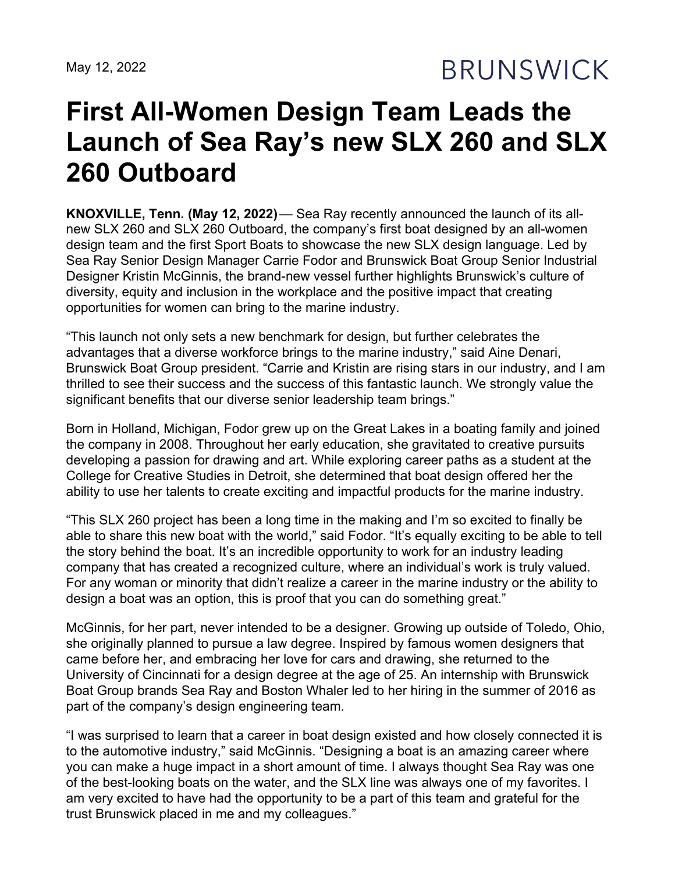May 12, 2022

**BRUNSWICK** 

## **First All-Women Design Team Leads the Launch of Sea Ray's new SLX 260 and SLX 260 Outboard**

**KNOXVILLE, Tenn. (May 12, 2022)**— Sea Ray recently announced the launch of its allnew SLX 260 and SLX 260 Outboard, the company's first boat designed by an all-women design team and the first Sport Boats to showcase the new SLX design language. Led by Sea Ray Senior Design Manager Carrie Fodor and Brunswick Boat Group Senior Industrial Designer Kristin McGinnis, the brand-new vessel further highlights Brunswick's culture of diversity, equity and inclusion in the workplace and the positive impact that creating opportunities for women can bring to the marine industry.

"This launch not only sets a new benchmark for design, but further celebrates the advantages that a diverse workforce brings to the marine industry," said Aine Denari, Brunswick Boat Group president. "Carrie and Kristin are rising stars in our industry, and I am thrilled to see their success and the success of this fantastic launch. We strongly value the significant benefits that our diverse senior leadership team brings."

Born in Holland, Michigan, Fodor grew up on the Great Lakes in a boating family and joined the company in 2008. Throughout her early education, she gravitated to creative pursuits developing a passion for drawing and art. While exploring career paths as a student at the College for Creative Studies in Detroit, she determined that boat design offered her the ability to use her talents to create exciting and impactful products for the marine industry.

"This SLX 260 project has been a long time in the making and I'm so excited to finally be able to share this new boat with the world," said Fodor. "It's equally exciting to be able to tell the story behind the boat. It's an incredible opportunity to work for an industry leading company that has created a recognized culture, where an individual's work is truly valued. For any woman or minority that didn't realize a career in the marine industry or the ability to design a boat was an option, this is proof that you can do something great."

McGinnis, for her part, never intended to be a designer. Growing up outside of Toledo, Ohio, she originally planned to pursue a law degree. Inspired by famous women designers that came before her, and embracing her love for cars and drawing, she returned to the University of Cincinnati for a design degree at the age of 25. An internship with Brunswick Boat Group brands Sea Ray and Boston Whaler led to her hiring in the summer of 2016 as part of the company's design engineering team.

"I was surprised to learn that a career in boat design existed and how closely connected it is to the automotive industry," said McGinnis. "Designing a boat is an amazing career where you can make a huge impact in a short amount of time. I always thought Sea Ray was one of the best-looking boats on the water, and the SLX line was always one of my favorites. I am very excited to have had the opportunity to be a part of this team and grateful for the trust Brunswick placed in me and my colleagues."